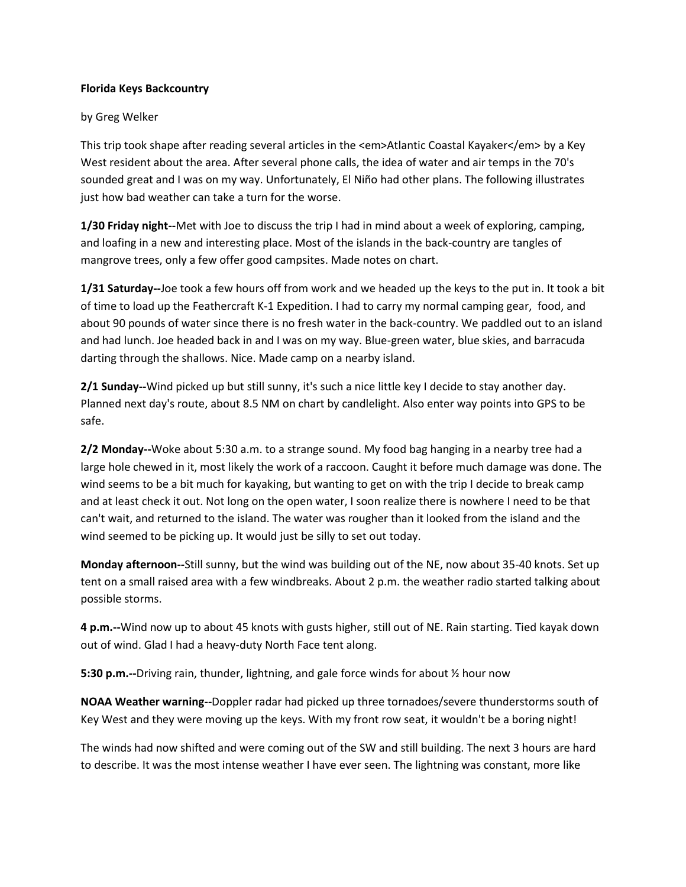## **Florida Keys Backcountry**

## by Greg Welker

This trip took shape after reading several articles in the <em>Atlantic Coastal Kayaker</em> by a Key West resident about the area. After several phone calls, the idea of water and air temps in the 70's sounded great and I was on my way. Unfortunately, El Niño had other plans. The following illustrates just how bad weather can take a turn for the worse.

**1/30 Friday night--**Met with Joe to discuss the trip I had in mind about a week of exploring, camping, and loafing in a new and interesting place. Most of the islands in the back-country are tangles of mangrove trees, only a few offer good campsites. Made notes on chart.

**1/31 Saturday--**Joe took a few hours off from work and we headed up the keys to the put in. It took a bit of time to load up the Feathercraft K-1 Expedition. I had to carry my normal camping gear, food, and about 90 pounds of water since there is no fresh water in the back-country. We paddled out to an island and had lunch. Joe headed back in and I was on my way. Blue-green water, blue skies, and barracuda darting through the shallows. Nice. Made camp on a nearby island.

**2/1 Sunday--**Wind picked up but still sunny, it's such a nice little key I decide to stay another day. Planned next day's route, about 8.5 NM on chart by candlelight. Also enter way points into GPS to be safe.

**2/2 Monday--**Woke about 5:30 a.m. to a strange sound. My food bag hanging in a nearby tree had a large hole chewed in it, most likely the work of a raccoon. Caught it before much damage was done. The wind seems to be a bit much for kayaking, but wanting to get on with the trip I decide to break camp and at least check it out. Not long on the open water, I soon realize there is nowhere I need to be that can't wait, and returned to the island. The water was rougher than it looked from the island and the wind seemed to be picking up. It would just be silly to set out today.

**Monday afternoon--**Still sunny, but the wind was building out of the NE, now about 35-40 knots. Set up tent on a small raised area with a few windbreaks. About 2 p.m. the weather radio started talking about possible storms.

**4 p.m.--**Wind now up to about 45 knots with gusts higher, still out of NE. Rain starting. Tied kayak down out of wind. Glad I had a heavy-duty North Face tent along.

**5:30 p.m.--**Driving rain, thunder, lightning, and gale force winds for about ½ hour now

**NOAA Weather warning--**Doppler radar had picked up three tornadoes/severe thunderstorms south of Key West and they were moving up the keys. With my front row seat, it wouldn't be a boring night!

The winds had now shifted and were coming out of the SW and still building. The next 3 hours are hard to describe. It was the most intense weather I have ever seen. The lightning was constant, more like